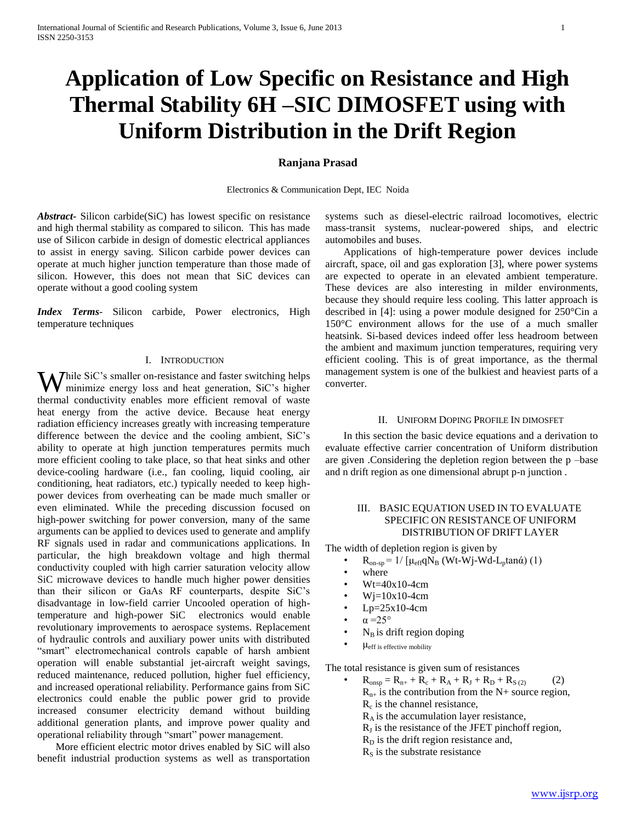# **Application of Low Specific on Resistance and High Thermal Stability 6H –SIC DIMOSFET using with Uniform Distribution in the Drift Region**

# **Ranjana Prasad**

Electronics & Communication Dept, IEC Noida

*Abstract***-** Silicon carbide(SiC) has lowest specific on resistance and high thermal stability as compared to silicon. This has made use of Silicon carbide in design of domestic electrical appliances to assist in energy saving. Silicon carbide power devices can operate at much higher junction temperature than those made of silicon. However, this does not mean that SiC devices can operate without a good cooling system

*Index Terms*- Silicon carbide, Power electronics, High temperature techniques

### I. INTRODUCTION

hile SiC's smaller on-resistance and faster switching helps While SiC's smaller on-resistance and faster switching helps<br>minimize energy loss and heat generation, SiC's higher thermal conductivity enables more efficient removal of waste heat energy from the active device. Because heat energy radiation efficiency increases greatly with increasing temperature difference between the device and the cooling ambient, SiC's ability to operate at high junction temperatures permits much more efficient cooling to take place, so that heat sinks and other device-cooling hardware (i.e., fan cooling, liquid cooling, air conditioning, heat radiators, etc.) typically needed to keep highpower devices from overheating can be made much smaller or even eliminated. While the preceding discussion focused on high-power switching for power conversion, many of the same arguments can be applied to devices used to generate and amplify RF signals used in radar and communications applications. In particular, the high breakdown voltage and high thermal conductivity coupled with high carrier saturation velocity allow SiC microwave devices to handle much higher power densities than their silicon or GaAs RF counterparts, despite SiC's disadvantage in low-field carrier Uncooled operation of hightemperature and high-power SiC electronics would enable revolutionary improvements to aerospace systems. Replacement of hydraulic controls and auxiliary power units with distributed "smart" electromechanical controls capable of harsh ambient operation will enable substantial jet-aircraft weight savings, reduced maintenance, reduced pollution, higher fuel efficiency, and increased operational reliability. Performance gains from SiC electronics could enable the public power grid to provide increased consumer electricity demand without building additional generation plants, and improve power quality and operational reliability through "smart" power management.

 More efficient electric motor drives enabled by SiC will also benefit industrial production systems as well as transportation

systems such as diesel-electric railroad locomotives, electric mass-transit systems, nuclear-powered ships, and electric automobiles and buses.

 Applications of high-temperature power devices include aircraft, space, oil and gas exploration [3], where power systems are expected to operate in an elevated ambient temperature. These devices are also interesting in milder environments, because they should require less cooling. This latter approach is described in [4]: using a power module designed for 250°Cin a 150°C environment allows for the use of a much smaller heatsink. Si-based devices indeed offer less headroom between the ambient and maximum junction temperatures, requiring very efficient cooling. This is of great importance, as the thermal management system is one of the bulkiest and heaviest parts of a converter.

#### II. UNIFORM DOPING PROFILE IN DIMOSFET

 In this section the basic device equations and a derivation to evaluate effective carrier concentration of Uniform distribution are given .Considering the depletion region between the p –base and n drift region as one dimensional abrupt p-n junction .

# III. BASIC EQUATION USED IN TO EVALUATE SPECIFIC ON RESISTANCE OF UNIFORM DISTRIBUTION OF DRIFT LAYER

The width of depletion region is given by

- $R_{on-sp} = 1/[\mu_{eff} q N_B (Wt-Wj-Wd-L_ptan\alpha) (1)$ 
	- where
	- Wt=40x10-4cm
	- $Wi=10x10-4cm$
	- $Lp=25x10-4cm$
- $\alpha = 25^{\circ}$
- $N_B$  is drift region doping
- μeff is effective mobility

The total resistance is given sum of resistances

- $R_{onsp} = R_{n+} + R_c + R_A + R_J + R_D + R_{S(2)}$  (2)  $R_{n+}$  is the contribution from the N+ source region,  $R_c$  is the channel resistance,  $R_A$  is the accumulation layer resistance,
	- $R_J$  is the resistance of the JFET pinchoff region,
	- $R<sub>D</sub>$  is the drift region resistance and,
	- $R<sub>S</sub>$  is the substrate resistance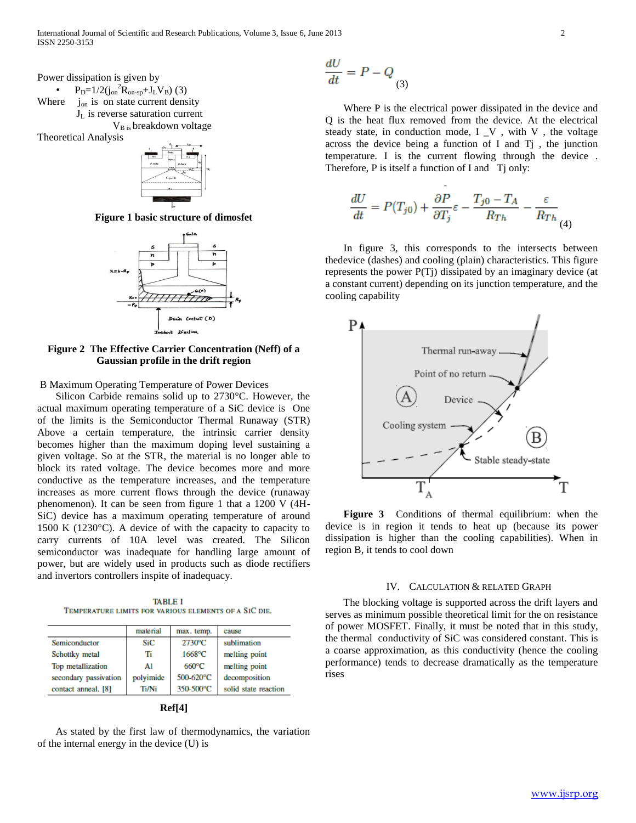International Journal of Scientific and Research Publications, Volume 3, Issue 6, June 2013 2 ISSN 2250-3153

Power dissipation is given by

•  $P_D=1/2(j_{on}^2R_{on-sp}+J_LV_B)$  (3) Where  $j_{on}$  is on state current density  $J_L$  is reverse saturation current V<sub>B is</sub> breakdown voltage

Theoretical Analysis



**Figure 1 basic structure of dimosfet**



**Figure 2 The Effective Carrier Concentration (Neff) of a Gaussian profile in the drift region**

B Maximum Operating Temperature of Power Devices

 Silicon Carbide remains solid up to 2730°C. However, the actual maximum operating temperature of a SiC device is One of the limits is the Semiconductor Thermal Runaway (STR) Above a certain temperature, the intrinsic carrier density becomes higher than the maximum doping level sustaining a given voltage. So at the STR, the material is no longer able to block its rated voltage. The device becomes more and more conductive as the temperature increases, and the temperature increases as more current flows through the device (runaway phenomenon). It can be seen from figure 1 that a 1200 V (4H-SiC) device has a maximum operating temperature of around 1500 K (1230°C). A device of with the capacity to capacity to carry currents of 10A level was created. The Silicon semiconductor was inadequate for handling large amount of power, but are widely used in products such as diode rectifiers and invertors controllers inspite of inadequacy.

**TABLE I** TEMPERATURE LIMITS FOR VARIOUS ELEMENTS OF A SIC DIE.

|                       | material     | max. temp. | cause                |
|-----------------------|--------------|------------|----------------------|
| Semiconductor         | SiC          | 2730°C     | sublimation          |
| Schottky metal        | т            | $1668$ °C  | melting point        |
| Top metallization     | Al           | 660°C      | melting point        |
| secondary passivation | polyimide    | 500-620°C  | decomposition        |
| contact anneal. [8]   | <b>Ti/Ni</b> | 350-500°C  | solid state reaction |

|--|

 As stated by the first law of thermodynamics, the variation of the internal energy in the device (U) is

$$
\frac{dU}{dt} = P - Q_{(3)}
$$

 Where P is the electrical power dissipated in the device and Q is the heat flux removed from the device. At the electrical steady state, in conduction mode, I \_V , with V , the voltage across the device being a function of I and Tj , the junction temperature. I is the current flowing through the device . Therefore, P is itself a function of I and T<sub>j</sub> only:

$$
\frac{dU}{dt} = P(T_{j0}) + \frac{\partial P}{\partial T_j} \varepsilon - \frac{T_{j0} - T_A}{R_{Th}} - \frac{\varepsilon}{R_{Th}} \tag{4}
$$

 In figure 3, this corresponds to the intersects between thedevice (dashes) and cooling (plain) characteristics. This figure represents the power P(Tj) dissipated by an imaginary device (at a constant current) depending on its junction temperature, and the cooling capability



 **Figure 3** Conditions of thermal equilibrium: when the device is in region it tends to heat up (because its power dissipation is higher than the cooling capabilities). When in region B, it tends to cool down

#### IV. CALCULATION & RELATED GRAPH

 The blocking voltage is supported across the drift layers and serves as minimum possible theoretical limit for the on resistance of power MOSFET. Finally, it must be noted that in this study, the thermal conductivity of SiC was considered constant. This is a coarse approximation, as this conductivity (hence the cooling performance) tends to decrease dramatically as the temperature rises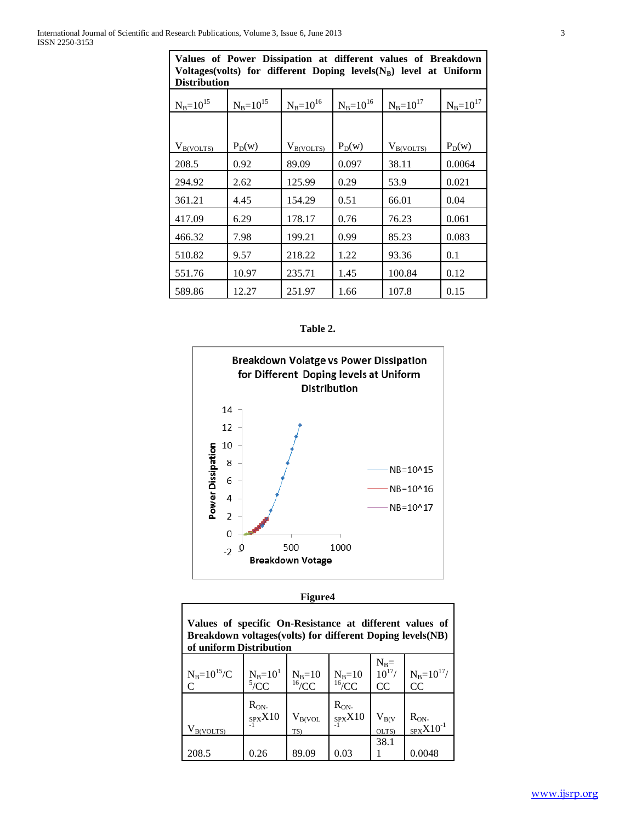| <b>Distribution</b> |                 |                 |                 |                 |                 |  |  |
|---------------------|-----------------|-----------------|-----------------|-----------------|-----------------|--|--|
| $N_B = 10^{15}$     | $N_B = 10^{15}$ | $N_B = 10^{16}$ | $N_B = 10^{16}$ | $N_B = 10^{17}$ | $N_B = 10^{17}$ |  |  |
|                     |                 |                 |                 |                 |                 |  |  |
| $V_{B(VOLTS)}$      | $P_D(w)$        | $V_{B(VOLTS)}$  | $P_D(w)$        | $V_{B(VOLTS)}$  | $P_D(w)$        |  |  |
| 208.5               | 0.92            | 89.09           | 0.097           | 38.11           | 0.0064          |  |  |
| 294.92              | 2.62            | 125.99          | 0.29            | 53.9            | 0.021           |  |  |
| 361.21              | 4.45            | 154.29          | 0.51            | 66.01           | 0.04            |  |  |
| 417.09              | 6.29            | 178.17          | 0.76            | 76.23           | 0.061           |  |  |
| 466.32              | 7.98            | 199.21          | 0.99            | 85.23           | 0.083           |  |  |
| 510.82              | 9.57            | 218.22          | 1.22            | 93.36           | 0.1             |  |  |
| 551.76              | 10.97           | 235.71          | 1.45            | 100.84          | 0.12            |  |  |
| 589.86              | 12.27           | 251.97          | 1.66            | 107.8           | 0.15            |  |  |

**Values of Power Dissipation at different values of Breakdown Voltages(volts) for different Doping levels(NB) level at Uniform** 





| ØН |
|----|
|----|

ī

| Values of specific On-Resistance at different values of<br>Breakdown voltages (volts) for different Doping levels (NB)<br>of uniform Distribution |                               |                                 |                                 |                              |                              |  |  |
|---------------------------------------------------------------------------------------------------------------------------------------------------|-------------------------------|---------------------------------|---------------------------------|------------------------------|------------------------------|--|--|
| $N_B = 10^{15}/C$<br>$\Gamma$                                                                                                                     | $N_B=10^1$<br>$^{5}/CC$       | $N_B=10$<br>$16$ <sub>/CC</sub> | $N_B=10$<br>$16$ <sub>/CC</sub> | $N_B =$<br>$10^{17}$ /<br>CC | $N_B = 10^{17}$ /<br>CC      |  |  |
| $V_{B(VOLTS)}$                                                                                                                                    | $R_{ON}$<br>$_{SPX}X10$<br>-1 | $\rm V_{B(VOL}$<br>TS)          | $R_{ON}$<br>$_{SPX}X10$         | $V_{B(V)}$<br>OLTS)          | $R_{ON}$<br>$_{SPX}X10^{-1}$ |  |  |
| 208.5                                                                                                                                             | 0.26                          | 89.09                           | 0.03                            | 38.1                         | 0.0048                       |  |  |